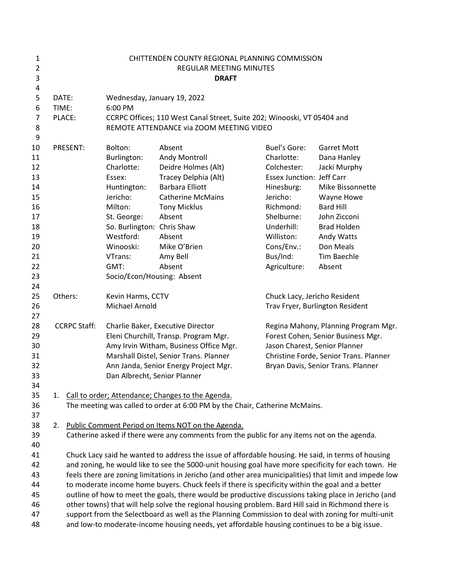| 1<br>$\overline{2}$<br>3<br>4 |       |                                                                                                         |                                                                            | CHITTENDEN COUNTY REGIONAL PLANNING COMMISSION<br>REGULAR MEETING MINUTES<br><b>DRAFT</b>            |                                                                            |                                        |  |
|-------------------------------|-------|---------------------------------------------------------------------------------------------------------|----------------------------------------------------------------------------|------------------------------------------------------------------------------------------------------|----------------------------------------------------------------------------|----------------------------------------|--|
| 5                             |       | DATE:<br>Wednesday, January 19, 2022                                                                    |                                                                            |                                                                                                      |                                                                            |                                        |  |
| 6                             | TIME: |                                                                                                         | 6:00 PM                                                                    |                                                                                                      |                                                                            |                                        |  |
| 7                             |       | PLACE:                                                                                                  |                                                                            | CCRPC Offices; 110 West Canal Street, Suite 202; Winooski, VT 05404 and                              |                                                                            |                                        |  |
| 8                             |       |                                                                                                         |                                                                            | REMOTE ATTENDANCE via ZOOM MEETING VIDEO                                                             |                                                                            |                                        |  |
| 9                             |       |                                                                                                         |                                                                            |                                                                                                      |                                                                            |                                        |  |
| 10                            |       | PRESENT:                                                                                                | Bolton:                                                                    | Absent                                                                                               | <b>Buel's Gore:</b>                                                        | <b>Garret Mott</b>                     |  |
| 11                            |       |                                                                                                         | Burlington:                                                                | Andy Montroll                                                                                        | Charlotte:                                                                 | Dana Hanley                            |  |
| 12                            |       |                                                                                                         | Charlotte:                                                                 | Deidre Holmes (Alt)                                                                                  | Colchester:                                                                | Jacki Murphy                           |  |
| 13                            |       |                                                                                                         | Essex:                                                                     | Tracey Delphia (Alt)                                                                                 | <b>Essex Junction: Jeff Carr</b>                                           |                                        |  |
| 14                            |       |                                                                                                         | Huntington:                                                                | <b>Barbara Elliott</b>                                                                               | Hinesburg:                                                                 | Mike Bissonnette                       |  |
| 15                            |       |                                                                                                         | Jericho:                                                                   | <b>Catherine McMains</b>                                                                             | Jericho:                                                                   | Wayne Howe                             |  |
| 16                            |       |                                                                                                         | Milton:                                                                    | <b>Tony Micklus</b>                                                                                  | Richmond:                                                                  | <b>Bard Hill</b>                       |  |
| 17                            |       |                                                                                                         | St. George:                                                                | Absent                                                                                               | Shelburne:                                                                 | John Zicconi                           |  |
| 18                            |       |                                                                                                         | So. Burlington: Chris Shaw                                                 |                                                                                                      | Underhill:                                                                 | <b>Brad Holden</b>                     |  |
| 19                            |       |                                                                                                         | Westford:                                                                  | Absent                                                                                               | Williston:                                                                 | Andy Watts                             |  |
| 20                            |       |                                                                                                         | Winooski:                                                                  | Mike O'Brien                                                                                         | Cons/Env.:                                                                 | Don Meals                              |  |
| 21                            |       |                                                                                                         | VTrans:                                                                    | Amy Bell                                                                                             | Bus/Ind:                                                                   | Tim Baechle                            |  |
| 22                            |       |                                                                                                         | GMT:                                                                       | Absent                                                                                               | Agriculture:                                                               | Absent                                 |  |
| 23                            |       |                                                                                                         | Socio/Econ/Housing: Absent                                                 |                                                                                                      |                                                                            |                                        |  |
| 24                            |       | Others:                                                                                                 |                                                                            |                                                                                                      |                                                                            |                                        |  |
| 25<br>26                      |       |                                                                                                         | Kevin Harms, CCTV<br>Michael Arnold                                        |                                                                                                      | Chuck Lacy, Jericho Resident<br>Trav Fryer, Burlington Resident            |                                        |  |
| 27                            |       |                                                                                                         |                                                                            |                                                                                                      |                                                                            |                                        |  |
| 28                            |       | <b>CCRPC Staff:</b>                                                                                     |                                                                            |                                                                                                      |                                                                            |                                        |  |
| 29                            |       |                                                                                                         | Charlie Baker, Executive Director<br>Eleni Churchill, Transp. Program Mgr. |                                                                                                      | Regina Mahony, Planning Program Mgr.<br>Forest Cohen, Senior Business Mgr. |                                        |  |
| 30                            |       |                                                                                                         |                                                                            | Amy Irvin Witham, Business Office Mgr.                                                               | Jason Charest, Senior Planner                                              |                                        |  |
| 31                            |       |                                                                                                         |                                                                            | Marshall Distel, Senior Trans. Planner                                                               |                                                                            | Christine Forde, Senior Trans. Planner |  |
| 32                            |       |                                                                                                         |                                                                            | Ann Janda, Senior Energy Project Mgr.                                                                |                                                                            | Bryan Davis, Senior Trans. Planner     |  |
| 33                            |       |                                                                                                         | Dan Albrecht, Senior Planner                                               |                                                                                                      |                                                                            |                                        |  |
| 34                            |       |                                                                                                         |                                                                            |                                                                                                      |                                                                            |                                        |  |
| 35                            |       |                                                                                                         |                                                                            | 1. Call to order; Attendance; Changes to the Agenda.                                                 |                                                                            |                                        |  |
| 36                            |       |                                                                                                         |                                                                            | The meeting was called to order at 6:00 PM by the Chair, Catherine McMains.                          |                                                                            |                                        |  |
| 37                            |       |                                                                                                         |                                                                            |                                                                                                      |                                                                            |                                        |  |
| 38                            | 2.    |                                                                                                         |                                                                            | Public Comment Period on Items NOT on the Agenda.                                                    |                                                                            |                                        |  |
| 39                            |       |                                                                                                         |                                                                            | Catherine asked if there were any comments from the public for any items not on the agenda.          |                                                                            |                                        |  |
| 40                            |       |                                                                                                         |                                                                            |                                                                                                      |                                                                            |                                        |  |
| 41                            |       |                                                                                                         |                                                                            | Chuck Lacy said he wanted to address the issue of affordable housing. He said, in terms of housing   |                                                                            |                                        |  |
| 42                            |       | and zoning, he would like to see the 5000-unit housing goal have more specificity for each town. He     |                                                                            |                                                                                                      |                                                                            |                                        |  |
| 43                            |       | feels there are zoning limitations in Jericho (and other area municipalities) that limit and impede low |                                                                            |                                                                                                      |                                                                            |                                        |  |
| 44                            |       | to moderate income home buyers. Chuck feels if there is specificity within the goal and a better        |                                                                            |                                                                                                      |                                                                            |                                        |  |
| 45                            |       |                                                                                                         |                                                                            | outline of how to meet the goals, there would be productive discussions taking place in Jericho (and |                                                                            |                                        |  |
| 46                            |       |                                                                                                         |                                                                            | other towns) that will help solve the regional housing problem. Bard Hill said in Richmond there is  |                                                                            |                                        |  |
| 47                            |       |                                                                                                         |                                                                            | support from the Selectboard as well as the Planning Commission to deal with zoning for multi-unit   |                                                                            |                                        |  |
| 48                            |       |                                                                                                         |                                                                            | and low-to moderate-income housing needs, yet affordable housing continues to be a big issue.        |                                                                            |                                        |  |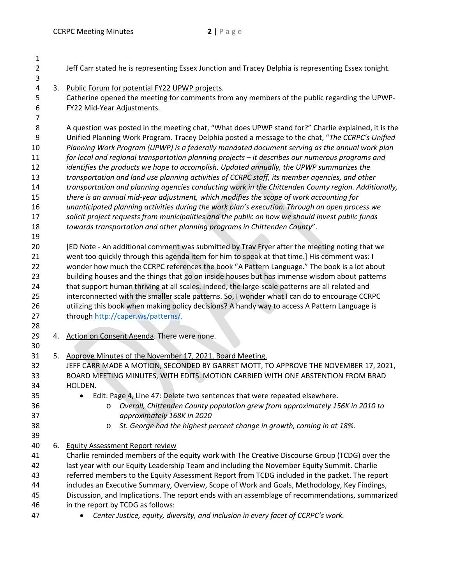| $\mathbf{1}$   |    |                                                                                                      |
|----------------|----|------------------------------------------------------------------------------------------------------|
| $\overline{2}$ |    | Jeff Carr stated he is representing Essex Junction and Tracey Delphia is representing Essex tonight. |
| 3              |    |                                                                                                      |
| 4              |    | 3. Public Forum for potential FY22 UPWP projects.                                                    |
| 5              |    | Catherine opened the meeting for comments from any members of the public regarding the UPWP-         |
| 6              |    | FY22 Mid-Year Adjustments.                                                                           |
| 7              |    |                                                                                                      |
| 8              |    | A question was posted in the meeting chat, "What does UPWP stand for?" Charlie explained, it is the  |
| 9              |    | Unified Planning Work Program. Tracey Delphia posted a message to the chat, "The CCRPC's Unified     |
| 10             |    | Planning Work Program (UPWP) is a federally mandated document serving as the annual work plan        |
| 11             |    | for local and regional transportation planning projects - it describes our numerous programs and     |
| 12             |    | identifies the products we hope to accomplish. Updated annually, the UPWP summarizes the             |
| 13             |    | transportation and land use planning activities of CCRPC staff, its member agencies, and other       |
| 14             |    | transportation and planning agencies conducting work in the Chittenden County region. Additionally,  |
| 15             |    | there is an annual mid-year adjustment, which modifies the scope of work accounting for              |
| 16             |    | unanticipated planning activities during the work plan's execution. Through an open process we       |
| 17             |    | solicit project requests from municipalities and the public on how we should invest public funds     |
| 18             |    | towards transportation and other planning programs in Chittenden County".                            |
| 19             |    |                                                                                                      |
| 20             |    | [ED Note - An additional comment was submitted by Trav Fryer after the meeting noting that we        |
| 21             |    | went too quickly through this agenda item for him to speak at that time.] His comment was: I         |
| 22             |    | wonder how much the CCRPC references the book "A Pattern Language." The book is a lot about          |
| 23             |    | building houses and the things that go on inside houses but has immense wisdom about patterns        |
| 24             |    | that support human thriving at all scales. Indeed, the large-scale patterns are all related and      |
| 25             |    | interconnected with the smaller scale patterns. So, I wonder what I can do to encourage CCRPC        |
| 26             |    | utilizing this book when making policy decisions? A handy way to access A Pattern Language is        |
| 27             |    | through http://caper.ws/patterns/.                                                                   |
| 28             |    |                                                                                                      |
| 29             | 4. | Action on Consent Agenda. There were none.                                                           |
| 30             |    |                                                                                                      |
| 31             |    | 5. Approve Minutes of the November 17, 2021, Board Meeting.                                          |
| 32             |    | JEFF CARR MADE A MOTION, SECONDED BY GARRET MOTT, TO APPROVE THE NOVEMBER 17, 2021,                  |
| 33             |    | BOARD MEETING MINUTES, WITH EDITS. MOTION CARRIED WITH ONE ABSTENTION FROM BRAD                      |
| 34             |    | HOLDEN.                                                                                              |
| 35             |    | Edit: Page 4, Line 47: Delete two sentences that were repeated elsewhere.<br>$\bullet$               |
| 36             |    | Overall, Chittenden County population grew from approximately 156K in 2010 to<br>O                   |
| 37             |    | approximately 168K in 2020                                                                           |
| 38             |    | St. George had the highest percent change in growth, coming in at 18%.<br>$\circ$                    |
| 39             |    |                                                                                                      |
| 40             |    | 6. Equity Assessment Report review                                                                   |
| 41             |    | Charlie reminded members of the equity work with The Creative Discourse Group (TCDG) over the        |
| 42             |    | last year with our Equity Leadership Team and including the November Equity Summit. Charlie          |
| 43             |    | referred members to the Equity Assessment Report from TCDG included in the packet. The report        |
| 44             |    | includes an Executive Summary, Overview, Scope of Work and Goals, Methodology, Key Findings,         |
| 45             |    | Discussion, and Implications. The report ends with an assemblage of recommendations, summarized      |
| 46             |    | in the report by TCDG as follows:                                                                    |
| 47             |    | Center Justice, equity, diversity, and inclusion in every facet of CCRPC's work.                     |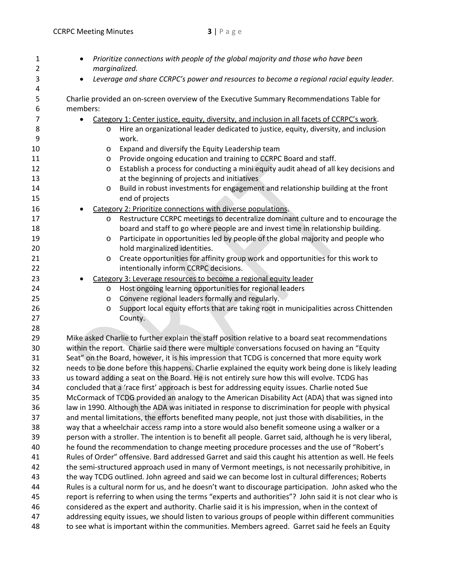| Prioritize connections with people of the global majority and those who have been<br>marginalized.        |
|-----------------------------------------------------------------------------------------------------------|
| Leverage and share CCRPC's power and resources to become a regional racial equity leader.<br>$\bullet$    |
| Charlie provided an on-screen overview of the Executive Summary Recommendations Table for                 |
| members:                                                                                                  |
| Category 1: Center justice, equity, diversity, and inclusion in all facets of CCRPC's work.               |
| Hire an organizational leader dedicated to justice, equity, diversity, and inclusion<br>$\circ$           |
| work.                                                                                                     |
| Expand and diversify the Equity Leadership team<br>O                                                      |
| Provide ongoing education and training to CCRPC Board and staff.<br>$\circ$                               |
| Establish a process for conducting a mini equity audit ahead of all key decisions and<br>$\circ$          |
| at the beginning of projects and initiatives                                                              |
| Build in robust investments for engagement and relationship building at the front<br>O                    |
| end of projects                                                                                           |
| Category 2: Prioritize connections with diverse populations.                                              |
| Restructure CCRPC meetings to decentralize dominant culture and to encourage the<br>$\circ$               |
| board and staff to go where people are and invest time in relationship building.                          |
| Participate in opportunities led by people of the global majority and people who<br>$\circ$               |
| hold marginalized identities.                                                                             |
| Create opportunities for affinity group work and opportunities for this work to<br>O                      |
| intentionally inform CCRPC decisions.                                                                     |
| Category 3: Leverage resources to become a regional equity leader                                         |
| Host ongoing learning opportunities for regional leaders<br>$\circ$                                       |
| Convene regional leaders formally and regularly.<br>$\circ$                                               |
| Support local equity efforts that are taking root in municipalities across Chittenden<br>$\circ$          |
| County.                                                                                                   |
|                                                                                                           |
| Mike asked Charlie to further explain the staff position relative to a board seat recommendations         |
| within the report. Charlie said there were multiple conversations focused on having an "Equity            |
| Seat" on the Board, however, it is his impression that TCDG is concerned that more equity work            |
| needs to be done before this happens. Charlie explained the equity work being done is likely leading      |
| us toward adding a seat on the Board. He is not entirely sure how this will evolve. TCDG has              |
| concluded that a 'race first' approach is best for addressing equity issues. Charlie noted Sue            |
| McCormack of TCDG provided an analogy to the American Disability Act (ADA) that was signed into           |
| law in 1990. Although the ADA was initiated in response to discrimination for people with physical        |
| and mental limitations, the efforts benefited many people, not just those with disabilities, in the       |
| way that a wheelchair access ramp into a store would also benefit someone using a walker or a             |
| person with a stroller. The intention is to benefit all people. Garret said, although he is very liberal, |
| he found the recommendation to change meeting procedure processes and the use of "Robert's                |
| Rules of Order" offensive. Bard addressed Garret and said this caught his attention as well. He feels     |
| the semi-structured approach used in many of Vermont meetings, is not necessarily prohibitive, in         |
| the way TCDG outlined. John agreed and said we can become lost in cultural differences; Roberts           |
| Rules is a cultural norm for us, and he doesn't want to discourage participation. John asked who the      |
| report is referring to when using the terms "experts and authorities"? John said it is not clear who is   |
| considered as the expert and authority. Charlie said it is his impression, when in the context of         |
| addressing equity issues, we should listen to various groups of people within different communities       |
| to see what is important within the communities. Members agreed. Garret said he feels an Equity           |
|                                                                                                           |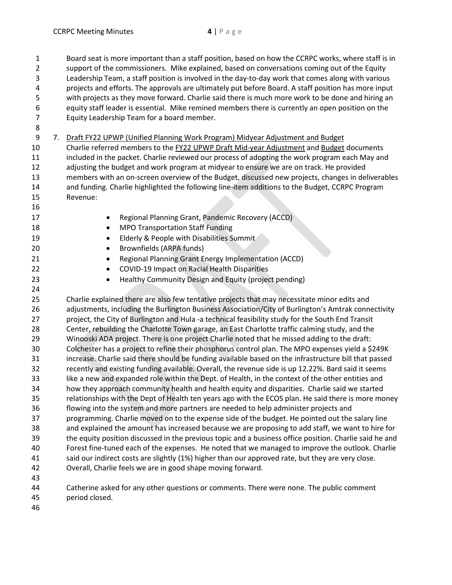1 Board seat is more important than a staff position, based on how the CCRPC works, where staff is in 2 support of the commissioners. Mike explained, based on conversations coming out of the Equity 3 Leadership Team, a staff position is involved in the day-to-day work that comes along with various 4 projects and efforts. The approvals are ultimately put before Board. A staff position has more input 5 with projects as they move forward. Charlie said there is much more work to be done and hiring an 6 equity staff leader is essential. Mike remined members there is currently an open position on the 7 Equity Leadership Team for a board member. 8 9 7. Draft FY22 UPWP (Unified Planning Work Program) Midyear Adjustment and Budget 10 Charlie referred members to the FY22 UPWP Draft Mid-year Adjustment and Budget documents 11 included in the packet. Charlie reviewed our process of adopting the work program each May and 12 adjusting the budget and work program at midyear to ensure we are on track. He provided 13 members with an on-screen overview of the Budget, discussed new projects, changes in deliverables 14 and funding. Charlie highlighted the following line-item additions to the Budget, CCRPC Program 15 Revenue: 16 17 **Regional Planning Grant, Pandemic Recovery (ACCD)** 18 **MPO Transportation Staff Funding** 19 **Elderly & People with Disabilities Summit** 20 **Brownfields (ARPA funds)** 21 **•** Regional Planning Grant Energy Implementation (ACCD) 22 **COVID-19 Impact on Racial Health Disparities** 23 **•** Healthy Community Design and Equity (project pending) 24 25 Charlie explained there are also few tentative projects that may necessitate minor edits and 26 adjustments, including the Burlington Business Association/City of Burlington's Amtrak connectivity 27 project, the City of Burlington and Hula -a technical feasibility study for the South End Transit 28 Center, rebuilding the Charlotte Town garage, an East Charlotte traffic calming study, and the 29 Winooski ADA project. There is one project Charlie noted that he missed adding to the draft: 30 Colchester has a project to refine their phosphorus control plan. The MPO expenses yield a \$249K 31 increase. Charlie said there should be funding available based on the infrastructure bill that passed 32 recently and existing funding available. Overall, the revenue side is up 12.22%. Bard said it seems 33 like a new and expanded role within the Dept. of Health, in the context of the other entities and 34 how they approach community health and health equity and disparities. Charlie said we started 35 relationships with the Dept of Health ten years ago with the ECOS plan. He said there is more money 36 flowing into the system and more partners are needed to help administer projects and 37 programming. Charlie moved on to the expense side of the budget. He pointed out the salary line 38 and explained the amount has increased because we are proposing to add staff, we want to hire for 39 the equity position discussed in the previous topic and a business office position. Charlie said he and 40 Forest fine-tuned each of the expenses. He noted that we managed to improve the outlook. Charlie 41 said our indirect costs are slightly (1%) higher than our approved rate, but they are very close. 42 Overall, Charlie feels we are in good shape moving forward. 43 44 Catherine asked for any other questions or comments. There were none. The public comment 45 period closed.

46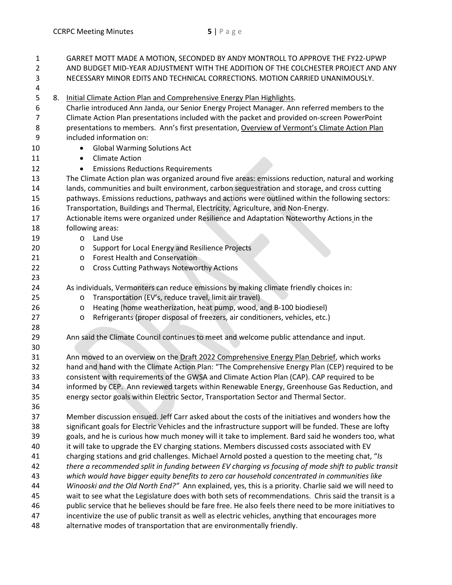| 1<br>$\overline{2}$<br>3           |    |                                                                                                        | GARRET MOTT MADE A MOTION, SECONDED BY ANDY MONTROLL TO APPROVE THE FY22-UPWP<br>AND BUDGET MID-YEAR ADJUSTMENT WITH THE ADDITION OF THE COLCHESTER PROJECT AND ANY<br>NECESSARY MINOR EDITS AND TECHNICAL CORRECTIONS. MOTION CARRIED UNANIMOUSLY.                                                                                                                                                |  |  |
|------------------------------------|----|--------------------------------------------------------------------------------------------------------|----------------------------------------------------------------------------------------------------------------------------------------------------------------------------------------------------------------------------------------------------------------------------------------------------------------------------------------------------------------------------------------------------|--|--|
| 4                                  |    |                                                                                                        |                                                                                                                                                                                                                                                                                                                                                                                                    |  |  |
| 5<br>6<br>$\overline{7}$<br>8<br>9 | 8. |                                                                                                        | Initial Climate Action Plan and Comprehensive Energy Plan Highlights.<br>Charlie introduced Ann Janda, our Senior Energy Project Manager. Ann referred members to the<br>Climate Action Plan presentations included with the packet and provided on-screen PowerPoint<br>presentations to members. Ann's first presentation, Overview of Vermont's Climate Action Plan<br>included information on: |  |  |
| 10                                 |    |                                                                                                        |                                                                                                                                                                                                                                                                                                                                                                                                    |  |  |
| 11                                 |    | <b>Global Warming Solutions Act</b><br>$\bullet$<br><b>Climate Action</b><br>$\bullet$                 |                                                                                                                                                                                                                                                                                                                                                                                                    |  |  |
| 12                                 |    | $\bullet$                                                                                              | <b>Emissions Reductions Requirements</b>                                                                                                                                                                                                                                                                                                                                                           |  |  |
| 13                                 |    | The Climate Action plan was organized around five areas: emissions reduction, natural and working      |                                                                                                                                                                                                                                                                                                                                                                                                    |  |  |
| 14                                 |    | lands, communities and built environment, carbon sequestration and storage, and cross cutting          |                                                                                                                                                                                                                                                                                                                                                                                                    |  |  |
| 15                                 |    |                                                                                                        | pathways. Emissions reductions, pathways and actions were outlined within the following sectors:                                                                                                                                                                                                                                                                                                   |  |  |
| 16                                 |    | Transportation, Buildings and Thermal, Electricity, Agriculture, and Non-Energy.                       |                                                                                                                                                                                                                                                                                                                                                                                                    |  |  |
| 17                                 |    | Actionable items were organized under Resilience and Adaptation Noteworthy Actions in the              |                                                                                                                                                                                                                                                                                                                                                                                                    |  |  |
| 18                                 |    |                                                                                                        | following areas:                                                                                                                                                                                                                                                                                                                                                                                   |  |  |
| 19                                 |    | $\circ$                                                                                                | Land Use                                                                                                                                                                                                                                                                                                                                                                                           |  |  |
| 20                                 |    | $\circ$                                                                                                | Support for Local Energy and Resilience Projects                                                                                                                                                                                                                                                                                                                                                   |  |  |
| 21                                 |    | $\circ$                                                                                                | <b>Forest Health and Conservation</b>                                                                                                                                                                                                                                                                                                                                                              |  |  |
| 22                                 |    | $\circ$                                                                                                | <b>Cross Cutting Pathways Noteworthy Actions</b>                                                                                                                                                                                                                                                                                                                                                   |  |  |
| 23                                 |    |                                                                                                        |                                                                                                                                                                                                                                                                                                                                                                                                    |  |  |
| 24                                 |    |                                                                                                        | As individuals, Vermonters can reduce emissions by making climate friendly choices in:                                                                                                                                                                                                                                                                                                             |  |  |
| 25                                 |    | $\circ$                                                                                                | Transportation (EV's, reduce travel, limit air travel)                                                                                                                                                                                                                                                                                                                                             |  |  |
| 26                                 |    | $\circ$                                                                                                | Heating (home weatherization, heat pump, wood, and B-100 biodiesel)                                                                                                                                                                                                                                                                                                                                |  |  |
| 27                                 |    | $\circ$                                                                                                | Refrigerants (proper disposal of freezers, air conditioners, vehicles, etc.)                                                                                                                                                                                                                                                                                                                       |  |  |
| 28                                 |    |                                                                                                        |                                                                                                                                                                                                                                                                                                                                                                                                    |  |  |
| 29                                 |    |                                                                                                        | Ann said the Climate Council continues to meet and welcome public attendance and input.                                                                                                                                                                                                                                                                                                            |  |  |
| 30                                 |    |                                                                                                        |                                                                                                                                                                                                                                                                                                                                                                                                    |  |  |
| 31                                 |    |                                                                                                        | Ann moved to an overview on the Draft 2022 Comprehensive Energy Plan Debrief, which works                                                                                                                                                                                                                                                                                                          |  |  |
| 32                                 |    |                                                                                                        | hand and hand with the Climate Action Plan: "The Comprehensive Energy Plan (CEP) required to be                                                                                                                                                                                                                                                                                                    |  |  |
| 33<br>34                           |    |                                                                                                        | consistent with requirements of the GWSA and Climate Action Plan (CAP). CAP required to be                                                                                                                                                                                                                                                                                                         |  |  |
| 35                                 |    |                                                                                                        | informed by CEP. Ann reviewed targets within Renewable Energy, Greenhouse Gas Reduction, and<br>energy sector goals within Electric Sector, Transportation Sector and Thermal Sector.                                                                                                                                                                                                              |  |  |
| 36                                 |    |                                                                                                        |                                                                                                                                                                                                                                                                                                                                                                                                    |  |  |
| 37                                 |    |                                                                                                        | Member discussion ensued. Jeff Carr asked about the costs of the initiatives and wonders how the                                                                                                                                                                                                                                                                                                   |  |  |
| 38                                 |    | significant goals for Electric Vehicles and the infrastructure support will be funded. These are lofty |                                                                                                                                                                                                                                                                                                                                                                                                    |  |  |
| 39                                 |    | goals, and he is curious how much money will it take to implement. Bard said he wonders too, what      |                                                                                                                                                                                                                                                                                                                                                                                                    |  |  |
| 40                                 |    | it will take to upgrade the EV charging stations. Members discussed costs associated with EV           |                                                                                                                                                                                                                                                                                                                                                                                                    |  |  |
| 41                                 |    | charging stations and grid challenges. Michael Arnold posted a question to the meeting chat, "Is       |                                                                                                                                                                                                                                                                                                                                                                                                    |  |  |
| 42                                 |    | there a recommended split in funding between EV charging vs focusing of mode shift to public transit   |                                                                                                                                                                                                                                                                                                                                                                                                    |  |  |
| 43                                 |    | which would have bigger equity benefits to zero car household concentrated in communities like         |                                                                                                                                                                                                                                                                                                                                                                                                    |  |  |
| 44                                 |    | Winooski and the Old North End?" Ann explained, yes, this is a priority. Charlie said we will need to  |                                                                                                                                                                                                                                                                                                                                                                                                    |  |  |
| 45                                 |    |                                                                                                        | wait to see what the Legislature does with both sets of recommendations. Chris said the transit is a                                                                                                                                                                                                                                                                                               |  |  |
| 46                                 |    |                                                                                                        | public service that he believes should be fare free. He also feels there need to be more initiatives to                                                                                                                                                                                                                                                                                            |  |  |
| 47                                 |    |                                                                                                        | incentivize the use of public transit as well as electric vehicles, anything that encourages more                                                                                                                                                                                                                                                                                                  |  |  |
| 48                                 |    |                                                                                                        | alternative modes of transportation that are environmentally friendly.                                                                                                                                                                                                                                                                                                                             |  |  |